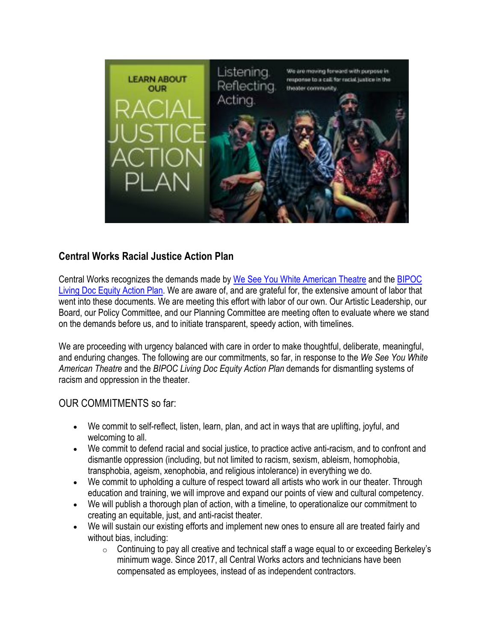

## **Central Works Racial Justice Action Plan**

Central Works recognizes the demands made by We See You White American Theatre and the BIPOC Living Doc Equity Action Plan. We are aware of, and are grateful for, the extensive amount of labor that went into these documents. We are meeting this effort with labor of our own. Our Artistic Leadership, our Board, our Policy Committee, and our Planning Committee are meeting often to evaluate where we stand on the demands before us, and to initiate transparent, speedy action, with timelines.

We are proceeding with urgency balanced with care in order to make thoughtful, deliberate, meaningful, and enduring changes. The following are our commitments, so far, in response to the *We See You White American Theatre* and the *BIPOC Living Doc Equity Action Plan* demands for dismantling systems of racism and oppression in the theater.

## OUR COMMITMENTS so far:

- We commit to self-reflect, listen, learn, plan, and act in ways that are uplifting, joyful, and welcoming to all.
- We commit to defend racial and social justice, to practice active anti-racism, and to confront and dismantle oppression (including, but not limited to racism, sexism, ableism, homophobia, transphobia, ageism, xenophobia, and religious intolerance) in everything we do.
- We commit to upholding a culture of respect toward all artists who work in our theater. Through education and training, we will improve and expand our points of view and cultural competency.
- We will publish a thorough plan of action, with a timeline, to operationalize our commitment to creating an equitable, just, and anti-racist theater.
- We will sustain our existing efforts and implement new ones to ensure all are treated fairly and without bias, including:
	- $\circ$  Continuing to pay all creative and technical staff a wage equal to or exceeding Berkeley's minimum wage. Since 2017, all Central Works actors and technicians have been compensated as employees, instead of as independent contractors.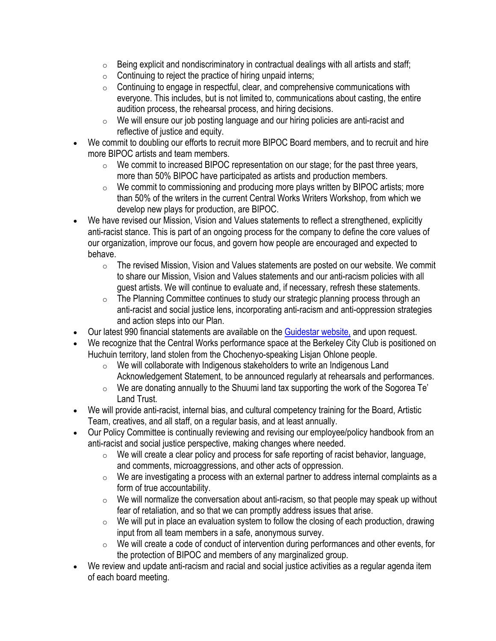- $\circ$  Being explicit and nondiscriminatory in contractual dealings with all artists and staff;
- $\circ$  Continuing to reject the practice of hiring unpaid interns;
- o Continuing to engage in respectful, clear, and comprehensive communications with everyone. This includes, but is not limited to, communications about casting, the entire audition process, the rehearsal process, and hiring decisions.
- o We will ensure our job posting language and our hiring policies are anti-racist and reflective of justice and equity.
- We commit to doubling our efforts to recruit more BIPOC Board members, and to recruit and hire more BIPOC artists and team members.
	- $\circ$  We commit to increased BIPOC representation on our stage; for the past three years, more than 50% BIPOC have participated as artists and production members.
	- o We commit to commissioning and producing more plays written by BIPOC artists; more than 50% of the writers in the current Central Works Writers Workshop, from which we develop new plays for production, are BIPOC.
- We have revised our Mission, Vision and Values statements to reflect a strengthened, explicitly anti-racist stance. This is part of an ongoing process for the company to define the core values of our organization, improve our focus, and govern how people are encouraged and expected to behave.
	- o The revised Mission, Vision and Values statements are posted on our website. We commit to share our Mission, Vision and Values statements and our anti-racism policies with all guest artists. We will continue to evaluate and, if necessary, refresh these statements.
	- o The Planning Committee continues to study our strategic planning process through an anti-racist and social justice lens, incorporating anti-racism and anti-oppression strategies and action steps into our Plan.
- Our latest 990 financial statements are available on the Guidestar website, and upon request.
- We recognize that the Central Works performance space at the Berkeley City Club is positioned on Huchuin territory, land stolen from the Chochenyo-speaking Lisjan Ohlone people.
	- o We will collaborate with Indigenous stakeholders to write an Indigenous Land Acknowledgement Statement, to be announced regularly at rehearsals and performances.
	- $\circ$  We are donating annually to the Shuumi land tax supporting the work of the Sogorea Te' Land Trust.
- We will provide anti-racist, internal bias, and cultural competency training for the Board, Artistic Team, creatives, and all staff, on a regular basis, and at least annually.
- Our Policy Committee is continually reviewing and revising our employee/policy handbook from an anti-racist and social justice perspective, making changes where needed.
	- o We will create a clear policy and process for safe reporting of racist behavior, language, and comments, microaggressions, and other acts of oppression.
	- $\circ$  We are investigating a process with an external partner to address internal complaints as a form of true accountability.
	- $\circ$  We will normalize the conversation about anti-racism, so that people may speak up without fear of retaliation, and so that we can promptly address issues that arise.
	- $\circ$  We will put in place an evaluation system to follow the closing of each production, drawing input from all team members in a safe, anonymous survey.
	- o We will create a code of conduct of intervention during performances and other events, for the protection of BIPOC and members of any marginalized group.
- We review and update anti-racism and racial and social justice activities as a regular agenda item of each board meeting.